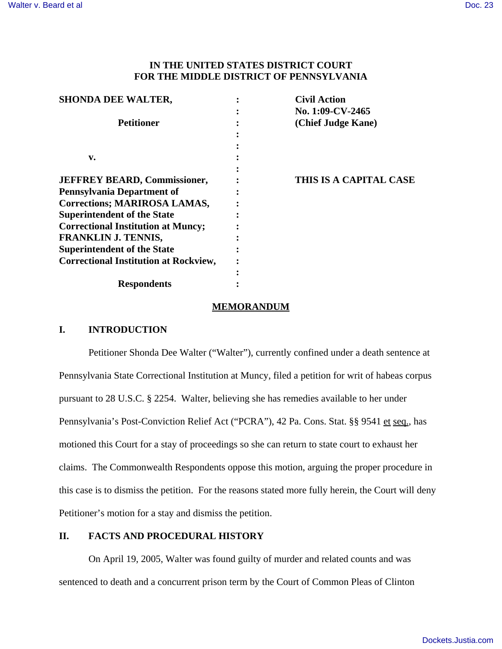# **IN THE UNITED STATES DISTRICT COURT FOR THE MIDDLE DISTRICT OF PENNSYLVANIA**

| <b>SHONDA DEE WALTER,</b>                    | <b>Civil Action</b>    |
|----------------------------------------------|------------------------|
|                                              | No. 1:09-CV-2465       |
| <b>Petitioner</b>                            | (Chief Judge Kane)     |
|                                              |                        |
|                                              |                        |
| v.                                           |                        |
|                                              |                        |
| <b>JEFFREY BEARD, Commissioner,</b>          | THIS IS A CAPITAL CASE |
| <b>Pennsylvania Department of</b>            |                        |
| <b>Corrections; MARIROSA LAMAS,</b>          |                        |
| <b>Superintendent of the State</b>           |                        |
| <b>Correctional Institution at Muncy;</b>    |                        |
| <b>FRANKLIN J. TENNIS,</b>                   |                        |
| <b>Superintendent of the State</b>           |                        |
| <b>Correctional Institution at Rockview,</b> |                        |
|                                              |                        |
| <b>Respondents</b>                           |                        |

### **MEMORANDUM**

## **I. INTRODUCTION**

Petitioner Shonda Dee Walter ("Walter"), currently confined under a death sentence at Pennsylvania State Correctional Institution at Muncy, filed a petition for writ of habeas corpus pursuant to 28 U.S.C. § 2254. Walter, believing she has remedies available to her under Pennsylvania's Post-Conviction Relief Act ("PCRA"), 42 Pa. Cons. Stat. §§ 9541 et seq., has motioned this Court for a stay of proceedings so she can return to state court to exhaust her claims. The Commonwealth Respondents oppose this motion, arguing the proper procedure in this case is to dismiss the petition. For the reasons stated more fully herein, the Court will deny Petitioner's motion for a stay and dismiss the petition.

## **II. FACTS AND PROCEDURAL HISTORY**

On April 19, 2005, Walter was found guilty of murder and related counts and was sentenced to death and a concurrent prison term by the Court of Common Pleas of Clinton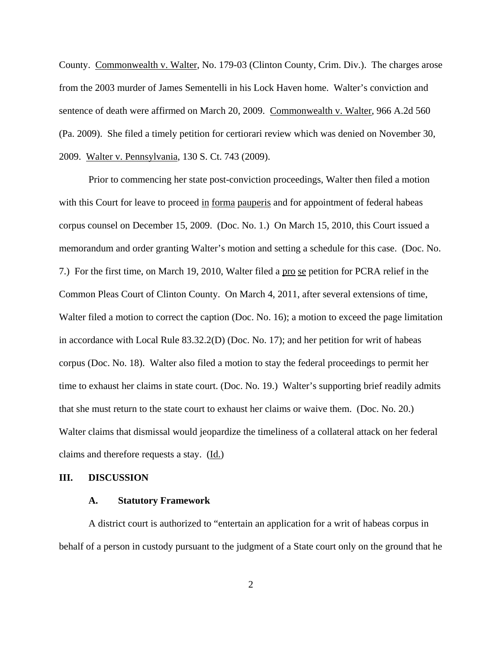County. Commonwealth v. Walter, No. 179-03 (Clinton County, Crim. Div.). The charges arose from the 2003 murder of James Sementelli in his Lock Haven home. Walter's conviction and sentence of death were affirmed on March 20, 2009. Commonwealth v. Walter, 966 A.2d 560 (Pa. 2009). She filed a timely petition for certiorari review which was denied on November 30, 2009. Walter v. Pennsylvania, 130 S. Ct. 743 (2009).

Prior to commencing her state post-conviction proceedings, Walter then filed a motion with this Court for leave to proceed in forma pauperis and for appointment of federal habeas corpus counsel on December 15, 2009. (Doc. No. 1.) On March 15, 2010, this Court issued a memorandum and order granting Walter's motion and setting a schedule for this case. (Doc. No. 7.) For the first time, on March 19, 2010, Walter filed a pro se petition for PCRA relief in the Common Pleas Court of Clinton County. On March 4, 2011, after several extensions of time, Walter filed a motion to correct the caption (Doc. No. 16); a motion to exceed the page limitation in accordance with Local Rule 83.32.2(D) (Doc. No. 17); and her petition for writ of habeas corpus (Doc. No. 18). Walter also filed a motion to stay the federal proceedings to permit her time to exhaust her claims in state court. (Doc. No. 19.) Walter's supporting brief readily admits that she must return to the state court to exhaust her claims or waive them. (Doc. No. 20.) Walter claims that dismissal would jeopardize the timeliness of a collateral attack on her federal claims and therefore requests a stay.  $(\underline{Id.})$ 

### **III. DISCUSSION**

#### **A. Statutory Framework**

A district court is authorized to "entertain an application for a writ of habeas corpus in behalf of a person in custody pursuant to the judgment of a State court only on the ground that he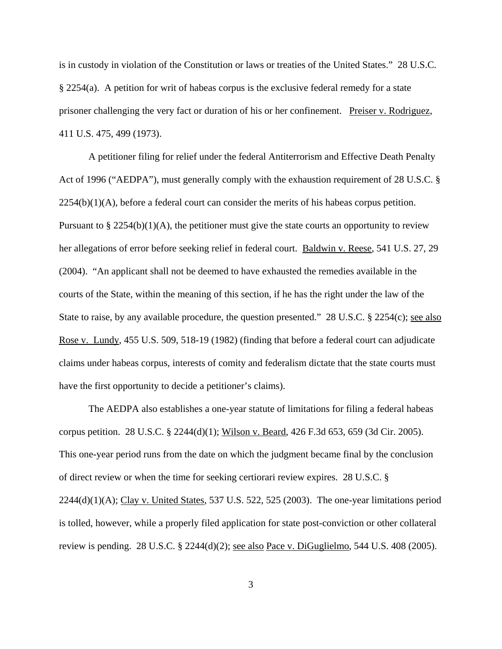is in custody in violation of the Constitution or laws or treaties of the United States." 28 U.S.C. § 2254(a). A petition for writ of habeas corpus is the exclusive federal remedy for a state prisoner challenging the very fact or duration of his or her confinement. Preiser v. Rodriguez, 411 U.S. 475, 499 (1973).

A petitioner filing for relief under the federal Antiterrorism and Effective Death Penalty Act of 1996 ("AEDPA"), must generally comply with the exhaustion requirement of 28 U.S.C. §  $2254(b)(1)(A)$ , before a federal court can consider the merits of his habeas corpus petition. Pursuant to  $\S 2254(b)(1)(A)$ , the petitioner must give the state courts an opportunity to review her allegations of error before seeking relief in federal court. Baldwin v. Reese, 541 U.S. 27, 29 (2004). "An applicant shall not be deemed to have exhausted the remedies available in the courts of the State, within the meaning of this section, if he has the right under the law of the State to raise, by any available procedure, the question presented." 28 U.S.C. § 2254(c); <u>see also</u> Rose v. Lundy, 455 U.S. 509, 518-19 (1982) (finding that before a federal court can adjudicate claims under habeas corpus, interests of comity and federalism dictate that the state courts must have the first opportunity to decide a petitioner's claims).

The AEDPA also establishes a one-year statute of limitations for filing a federal habeas corpus petition. 28 U.S.C. § 2244(d)(1); Wilson v. Beard, 426 F.3d 653, 659 (3d Cir. 2005). This one-year period runs from the date on which the judgment became final by the conclusion of direct review or when the time for seeking certiorari review expires. 28 U.S.C. §  $2244(d)(1)(A)$ ; Clay v. United States, 537 U.S. 522, 525 (2003). The one-year limitations period is tolled, however, while a properly filed application for state post-conviction or other collateral review is pending. 28 U.S.C.  $\S$  2244(d)(2); <u>see also Pace v. DiGuglielmo</u>, 544 U.S. 408 (2005).

3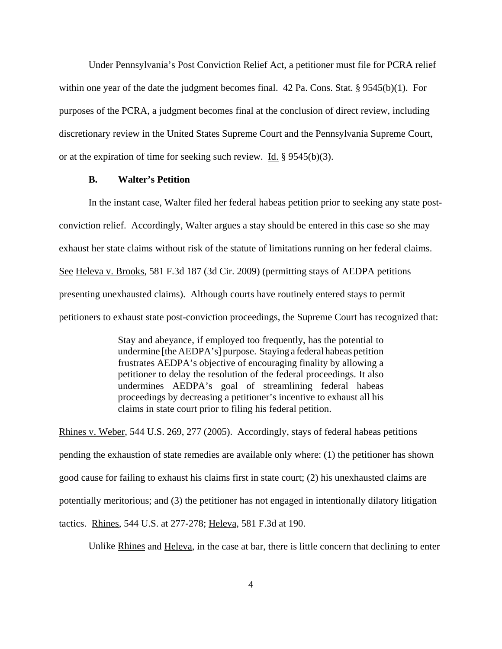Under Pennsylvania's Post Conviction Relief Act, a petitioner must file for PCRA relief within one year of the date the judgment becomes final. 42 Pa. Cons. Stat. § 9545(b)(1). For purposes of the PCRA, a judgment becomes final at the conclusion of direct review, including discretionary review in the United States Supreme Court and the Pennsylvania Supreme Court, or at the expiration of time for seeking such review. Id.  $\S 9545(b)(3)$ .

### **B. Walter's Petition**

In the instant case, Walter filed her federal habeas petition prior to seeking any state postconviction relief. Accordingly, Walter argues a stay should be entered in this case so she may exhaust her state claims without risk of the statute of limitations running on her federal claims. See Heleva v. Brooks, 581 F.3d 187 (3d Cir. 2009) (permitting stays of AEDPA petitions presenting unexhausted claims). Although courts have routinely entered stays to permit petitioners to exhaust state post-conviction proceedings, the Supreme Court has recognized that:

> Stay and abeyance, if employed too frequently, has the potential to undermine [the AEDPA's] purpose. Staying a federal habeas petition frustrates AEDPA's objective of encouraging finality by allowing a petitioner to delay the resolution of the federal proceedings. It also undermines AEDPA's goal of streamlining federal habeas proceedings by decreasing a petitioner's incentive to exhaust all his claims in state court prior to filing his federal petition.

Rhines v. Weber, 544 U.S. 269, 277 (2005). Accordingly, stays of federal habeas petitions pending the exhaustion of state remedies are available only where: (1) the petitioner has shown good cause for failing to exhaust his claims first in state court; (2) his unexhausted claims are potentially meritorious; and (3) the petitioner has not engaged in intentionally dilatory litigation tactics. Rhines, 544 U.S. at 277-278; Heleva, 581 F.3d at 190.

Unlike Rhines and Heleva, in the case at bar, there is little concern that declining to enter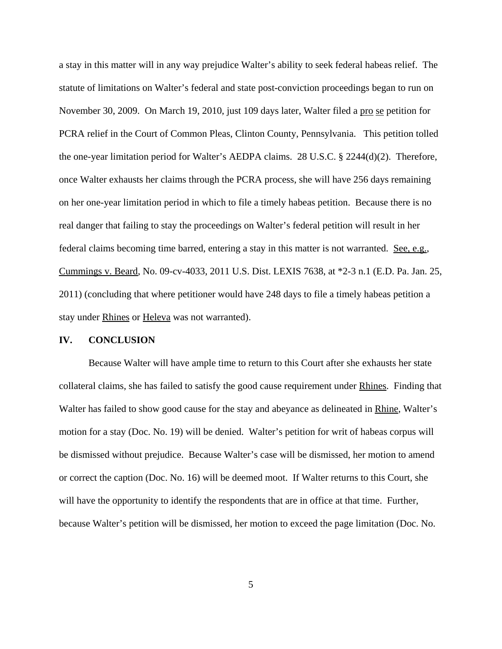a stay in this matter will in any way prejudice Walter's ability to seek federal habeas relief. The statute of limitations on Walter's federal and state post-conviction proceedings began to run on November 30, 2009. On March 19, 2010, just 109 days later, Walter filed a pro se petition for PCRA relief in the Court of Common Pleas, Clinton County, Pennsylvania. This petition tolled the one-year limitation period for Walter's AEDPA claims. 28 U.S.C. § 2244(d)(2). Therefore, once Walter exhausts her claims through the PCRA process, she will have 256 days remaining on her one-year limitation period in which to file a timely habeas petition. Because there is no real danger that failing to stay the proceedings on Walter's federal petition will result in her federal claims becoming time barred, entering a stay in this matter is not warranted. See, e.g., Cummings v. Beard, No. 09-cv-4033, 2011 U.S. Dist. LEXIS 7638, at \*2-3 n.1 (E.D. Pa. Jan. 25, 2011) (concluding that where petitioner would have 248 days to file a timely habeas petition a stay under Rhines or Heleva was not warranted).

#### **IV. CONCLUSION**

Because Walter will have ample time to return to this Court after she exhausts her state collateral claims, she has failed to satisfy the good cause requirement under Rhines. Finding that Walter has failed to show good cause for the stay and abeyance as delineated in Rhine, Walter's motion for a stay (Doc. No. 19) will be denied. Walter's petition for writ of habeas corpus will be dismissed without prejudice. Because Walter's case will be dismissed, her motion to amend or correct the caption (Doc. No. 16) will be deemed moot. If Walter returns to this Court, she will have the opportunity to identify the respondents that are in office at that time. Further, because Walter's petition will be dismissed, her motion to exceed the page limitation (Doc. No.

5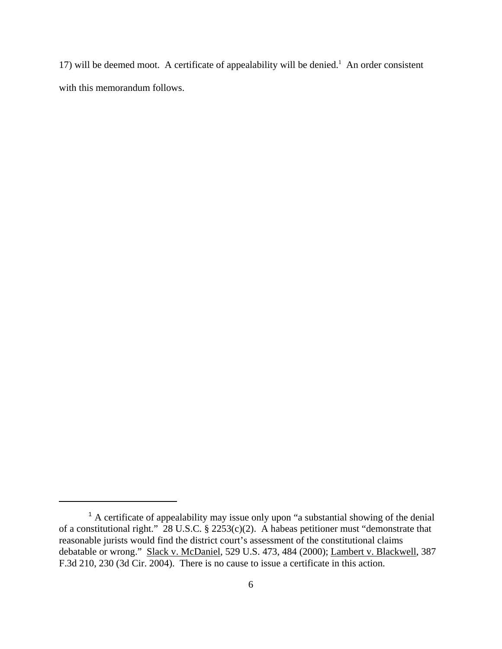17) will be deemed moot. A certificate of appealability will be denied.<sup>1</sup> An order consistent with this memorandum follows.

<sup>&</sup>lt;sup>1</sup> A certificate of appealability may issue only upon "a substantial showing of the denial of a constitutional right." 28 U.S.C. § 2253(c)(2). A habeas petitioner must "demonstrate that reasonable jurists would find the district court's assessment of the constitutional claims debatable or wrong." Slack v. McDaniel, 529 U.S. 473, 484 (2000); Lambert v. Blackwell, 387 F.3d 210, 230 (3d Cir. 2004). There is no cause to issue a certificate in this action.